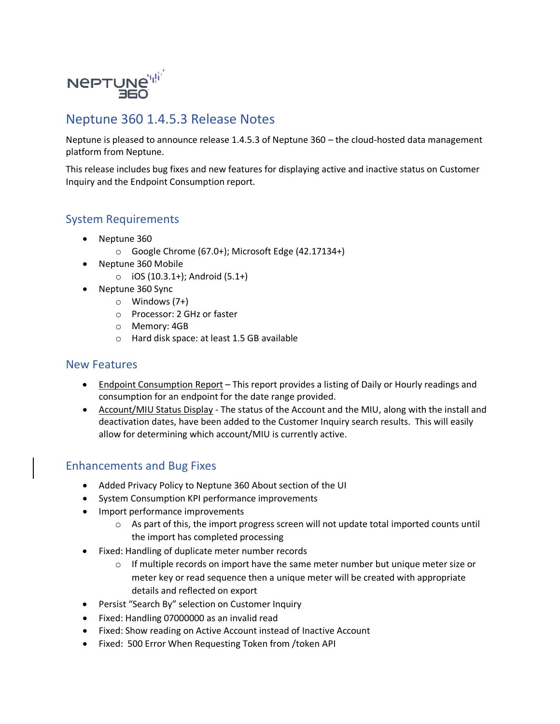

## Neptune 360 1.4.5.3 Release Notes

Neptune is pleased to announce release 1.4.5.3 of Neptune 360 – the cloud-hosted data management platform from Neptune.

This release includes bug fixes and new features for displaying active and inactive status on Customer Inquiry and the Endpoint Consumption report.

## System Requirements

- Neptune 360
	- o Google Chrome (67.0+); Microsoft Edge (42.17134+)
- Neptune 360 Mobile
	- o iOS (10.3.1+); Android (5.1+)
- Neptune 360 Sync
	- o Windows (7+)
	- o Processor: 2 GHz or faster
	- o Memory: 4GB
	- o Hard disk space: at least 1.5 GB available

## New Features

- Endpoint Consumption Report This report provides a listing of Daily or Hourly readings and consumption for an endpoint for the date range provided.
- Account/MIU Status Display The status of the Account and the MIU, along with the install and deactivation dates, have been added to the Customer Inquiry search results. This will easily allow for determining which account/MIU is currently active.

## Enhancements and Bug Fixes

- Added Privacy Policy to Neptune 360 About section of the UI
- System Consumption KPI performance improvements
- Import performance improvements
	- $\circ$  As part of this, the import progress screen will not update total imported counts until the import has completed processing
- Fixed: Handling of duplicate meter number records
	- $\circ$  If multiple records on import have the same meter number but unique meter size or meter key or read sequence then a unique meter will be created with appropriate details and reflected on export
- Persist "Search By" selection on Customer Inquiry
- Fixed: Handling 07000000 as an invalid read
- Fixed: Show reading on Active Account instead of Inactive Account
- Fixed: 500 Error When Requesting Token from /token API